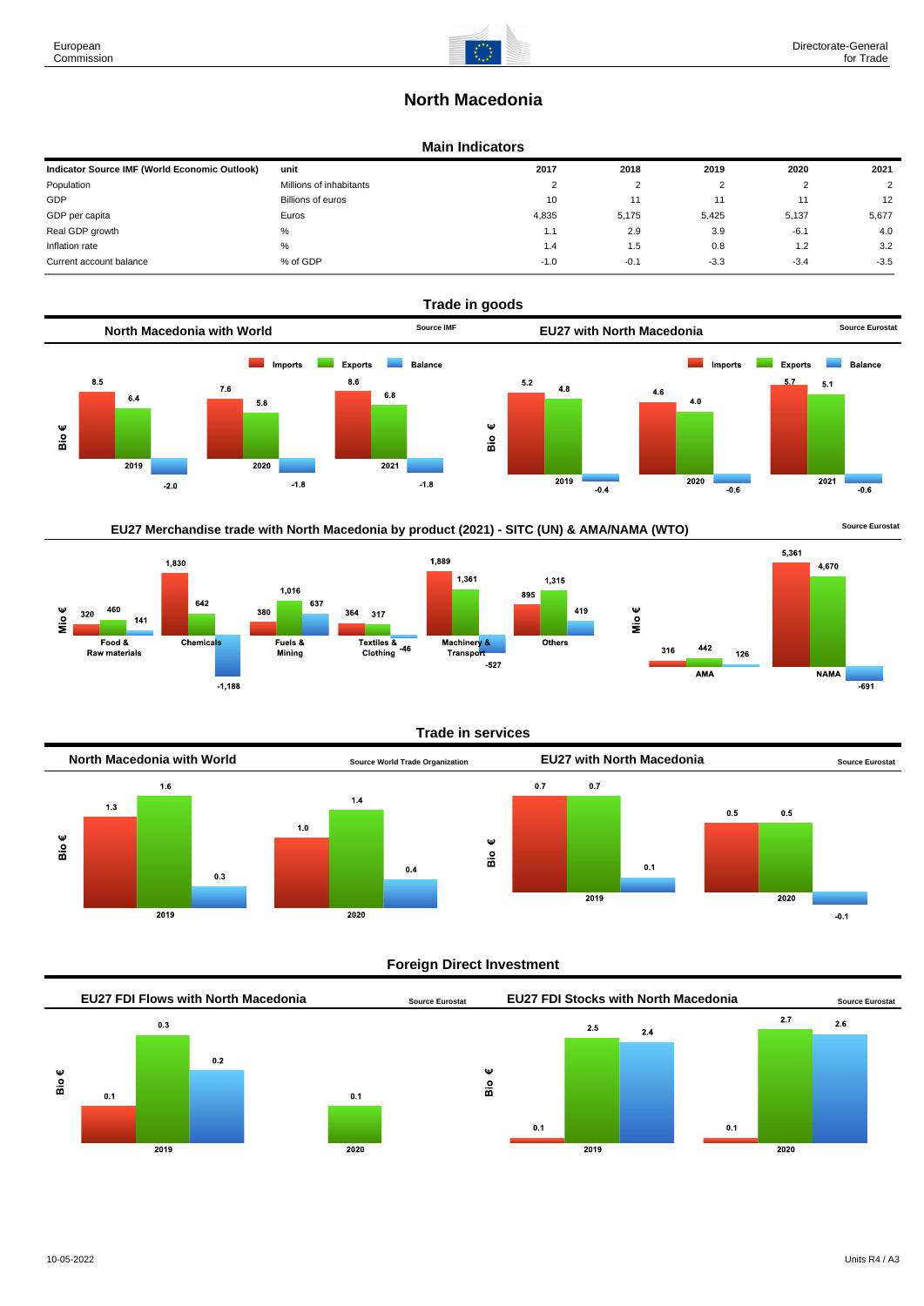# **North Macedonia**

#### **Main Indicators**

| Indicator Source IMF (World Economic Outlook) | unit                    | 2017   | 2018   | 2019   | 2020   | 2021          |
|-----------------------------------------------|-------------------------|--------|--------|--------|--------|---------------|
| Population                                    | Millions of inhabitants | $\sim$ |        |        |        | $\mathcal{P}$ |
| GDP                                           | Billions of euros       | 10     | 11     |        |        | 12            |
| GDP per capita                                | Euros                   | 4.835  | 5.175  | 5,425  | 5.137  | 5,677         |
| Real GDP growth                               | %                       | 1.1    | 2.9    | 3.9    | $-6.1$ | 4.0           |
| Inflation rate                                | $\%$                    | 1.4    | 1.5    | 0.8    | 1.2    | 3.2           |
| Current account balance                       | % of GDP                | $-1.0$ | $-0.1$ | $-3.3$ | $-3.4$ | $-3.5$        |



## EU27 Merchandise trade with North Macedonia by product (2021) - SITC (UN) & AMA/NAMA (WTO) **Source Eurostat**



#### **Trade in services**



#### **Foreign Direct Investment**